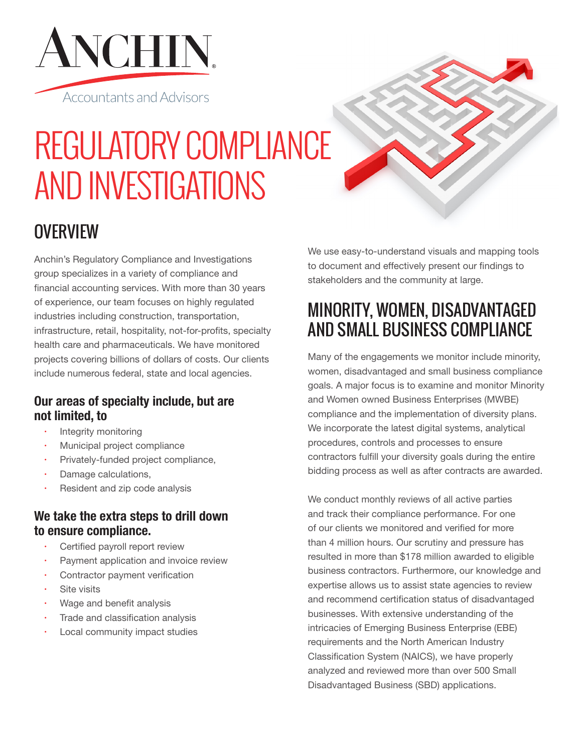

# REGULATORY COMPLIANCE AND INVESTIGATIONS

## **OVERVIEW**

Anchin's Regulatory Compliance and Investigations group specializes in a variety of compliance and financial accounting services. With more than 30 years of experience, our team focuses on highly regulated industries including construction, transportation, infrastructure, retail, hospitality, not-for-profits, specialty health care and pharmaceuticals. We have monitored projects covering billions of dollars of costs. Our clients include numerous federal, state and local agencies.

### **Our areas of specialty include, but are not limited, to**

- Integrity monitoring
- Municipal project compliance
- Privately-funded project compliance,
- Damage calculations,
- Resident and zip code analysis

#### **We take the extra steps to drill down to ensure compliance.**

- Certified payroll report review
- Payment application and invoice review
- Contractor payment verification
- Site visits
- Wage and benefit analysis
- Trade and classification analysis
- Local community impact studies

We use easy-to-understand visuals and mapping tools to document and effectively present our findings to stakeholders and the community at large.

## MINORITY, WOMEN, DISADVANTAGED AND SMALL BUSINESS COMPLIANCE

Many of the engagements we monitor include minority, women, disadvantaged and small business compliance goals. A major focus is to examine and monitor Minority and Women owned Business Enterprises (MWBE) compliance and the implementation of diversity plans. We incorporate the latest digital systems, analytical procedures, controls and processes to ensure contractors fulfill your diversity goals during the entire bidding process as well as after contracts are awarded.

We conduct monthly reviews of all active parties and track their compliance performance. For one of our clients we monitored and verified for more than 4 million hours. Our scrutiny and pressure has resulted in more than \$178 million awarded to eligible business contractors. Furthermore, our knowledge and expertise allows us to assist state agencies to review and recommend certification status of disadvantaged businesses. With extensive understanding of the intricacies of Emerging Business Enterprise (EBE) requirements and the North American Industry Classification System (NAICS), we have properly analyzed and reviewed more than over 500 Small Disadvantaged Business (SBD) applications.